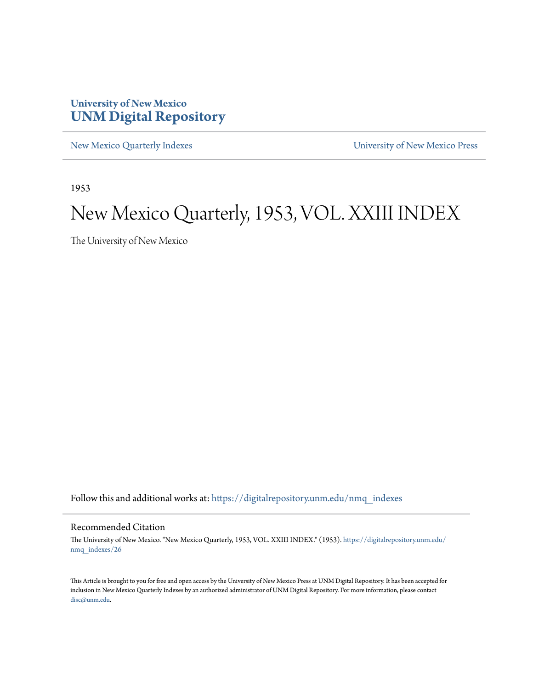## **University of New Mexico [UNM Digital Repository](https://digitalrepository.unm.edu?utm_source=digitalrepository.unm.edu%2Fnmq_indexes%2F26&utm_medium=PDF&utm_campaign=PDFCoverPages)**

[New Mexico Quarterly Indexes](https://digitalrepository.unm.edu/nmq_indexes?utm_source=digitalrepository.unm.edu%2Fnmq_indexes%2F26&utm_medium=PDF&utm_campaign=PDFCoverPages) [University of New Mexico Press](https://digitalrepository.unm.edu/press?utm_source=digitalrepository.unm.edu%2Fnmq_indexes%2F26&utm_medium=PDF&utm_campaign=PDFCoverPages)

1953

## New Mexico Quarterly, 1953, VOL. XXIII INDEX

The University of New Mexico

Follow this and additional works at: [https://digitalrepository.unm.edu/nmq\\_indexes](https://digitalrepository.unm.edu/nmq_indexes?utm_source=digitalrepository.unm.edu%2Fnmq_indexes%2F26&utm_medium=PDF&utm_campaign=PDFCoverPages)

### Recommended Citation

The University of New Mexico. "New Mexico Quarterly, 1953, VOL. XXIII INDEX." (1953). [https://digitalrepository.unm.edu/](https://digitalrepository.unm.edu/nmq_indexes/26?utm_source=digitalrepository.unm.edu%2Fnmq_indexes%2F26&utm_medium=PDF&utm_campaign=PDFCoverPages) [nmq\\_indexes/26](https://digitalrepository.unm.edu/nmq_indexes/26?utm_source=digitalrepository.unm.edu%2Fnmq_indexes%2F26&utm_medium=PDF&utm_campaign=PDFCoverPages)

This Article is brought to you for free and open access by the University of New Mexico Press at UNM Digital Repository. It has been accepted for inclusion in New Mexico Quarterly Indexes by an authorized administrator of UNM Digital Repository. For more information, please contact [disc@unm.edu](mailto:disc@unm.edu).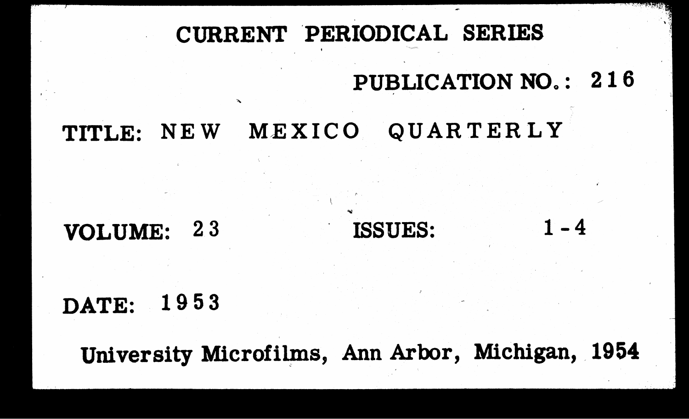# CURRENT PERIODICAL SERIES

## MEXICO QUARTERLY TITLE: NEW

## VOLUME: 23

## DATE: 1953

# PUBLICATION NO.: 216

## ISSUES:

# University Microfilms, Ann Arbor, Michigan, 1954

 $1 - 4$ 

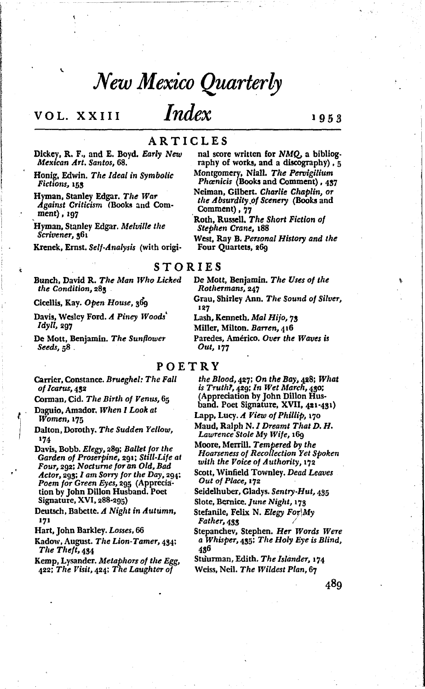## New Mexico Quarterly

*Index* 

## VOL. XXIII

## ARTICLES

Dickey, R. F., and E. Boyd. Early New Mexican Art. Santos, 68.

Honig, Edwin. The Ideal in Symbolic Fictions, 153

Hyman, Stanley Edgar. The War Against Criticism (Books and Comment), 197

Hyman, Stanley Edgar. Melville the Scrivener, 361

Krenek, Ernst. Self-Analysis (with origi-

raphy of works, and a discography), 5 Montgomery, Niall. The Pervigilium Phanicis (Books and Comment), 437

nal score written for NMQ, a bibliog-

Neiman, Gilbert. Charlie Chaplin, or the Absurdity of Scenery (Books and Comment), 77

- Roth, Russell, The Short Fiction of Stephen Crane, 188
- West, Ray B. Personal History and the Four Quartets, 269

### **STORIES**

Bunch, David R. The Man Who Licked the Condition, 283

Cicellis, Kay. Open House, 369

Davis, Wesley Ford. A Piney Woods Idyll, 207

De Mott, Benjamin. The Sunflower Seeds,  $58$ .

Carrier, Constance. Brueghel: The Fall

of Icarus, 432 Corman, Cid. The Birth of Venus, 65

Daguio, Amador, When I Look at Women, 175

Dalton, Dorothy. The Sudden Yellow, 174

Davis, Bobb. Elegy, 289; Ballet for the Garden of Proserpine, 291; Still-Life at Four, 292; Nocturne for an Old, Bad Actor, 293; I am Sorry for the Day, 294; Poem for Green Eyes, 295 (Appreciation by John Dillon Husband. Poet Signature, XVI, 288-295)

Deutsch, Babette. A Night in Autumn, 171

Hart, John Barkley. Losses, 66

Kadow, August. The Lion-Tamer, 434; The Theft, 434

Kemp, Lysander. Metaphors of the Egg, 422; The Visit, 424; The Laughter of

De Mott, Benjamin. The Uses of the Rothermans, 247

Grau, Shirley Ann. The Sound of Silver, 127

Lash, Kenneth. Mal Hijo, 73

Miller, Milton. Barren, 416

Paredes, Américo. Over the Waves is Out, 177

## POETRY

the Blood, 427; On the Bay, 428; What is  $Truth$ ,  $429$ ; In Wet March,  $480$ ; (Appreciation by John Dillon Husband. Poet Signature, XVII, 421-431)

Lapp, Lucy. A View of Phillip, 170

Maud, Ralph N. I Dreamt That D. H. Lawrence Stole My Wife, 169

Moore, Merrill. Tempered by the Hoarseness of Recollection Yet Spoken with the Voice of Authority, 172

Scott, Winfield Townley, Dead Leaves Out of Place, 172

Seidelhuber, Gladys. Sentry-Hut, 435

Slote, Bernice. June Night, 173

Stefanile, Felix N. Elegy For My

Father, 433

Stepanchev, Stephen. Her Words Were a Whisper, 435; The Holy Eye is Blind, 436

Stuurman, Edith. The Islander, 174 Weiss, Neil. The Wildest Plan, 67

489

1953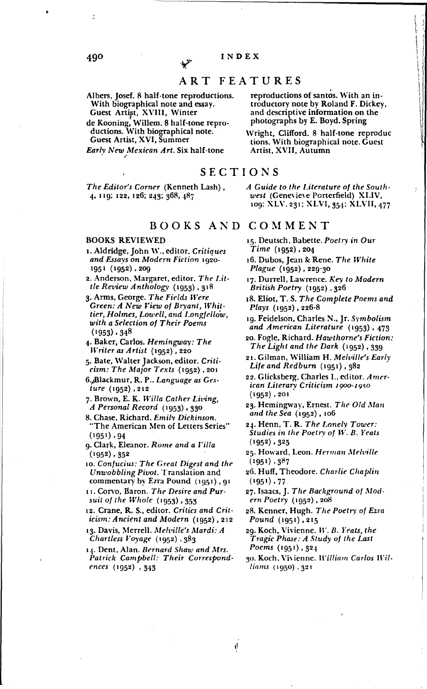### ART FEATURES

- Albers, Josef. 8 half-tone reproductions. With biographical note and essay. Guest Artist, XVIII, Winter
- de Kooning, Willem. 8 half-tone repro-<br>ductions. With biographical note. Guest Artist, XVI, Summer

Early New Mexican Art. Six half-tone

The Editor's Corner (Kenneth Lash), 4, 119; 122, 126; 243; 368, 487

BOOKS AND COMMENT

 $\dot{q}$ 

### **BOOKS REVIEWED**

- 1. Aldridge, John W., editor. Critiques and Essays on Modern Fiction 1920-1951 (1952), 209
- 2. Anderson, Margaret, editor. The Little Review Anthology (1953), 318
- 3. Arms, George. The Fields Were Green: A New View of Bryant, Whittier, Holmes, Lowell, and Longfellow, with a Selection of Their Poems  $(1953)$ , 348
- 4. Baker, Carlos. Hemingway: The Writer as Artist (1952), 220
- 5. Bate, Walter Jackson, editor. Criti $cism$ : The Major Texts (1952), 201
- 6. Blackmur, R. P., Language as Ges $ture(1952), 212$
- 7. Brown, E. K. Willa Cather Living, A Personal Record (1953) . 330
- 8. Chase, Richard. Emily Dickinson. "The American Men of Letters Series"  $(1951)$ , 94
- 9. Clark, Eleanor. Rome and a Villa  $(1952)$ , 352
- 10. Confucius: The Great Digest and the Unwobbling Pivot. Translation and commentary by Ezra Pound (1951), 91
- 11. Corvo, Baron. The Desire and Pursuit of the Whole (1953), 353
- 12. Crane, R. S., editor. Critics and Criticism: Ancient and Modern (1952), 212
- 13. Davis, Merrell. Melville's Mardi: A Chartless Voyage (1952), 383

14. Dent, Alan. Bernard Shaw and Mrs. Patrick Campbell: Their Correspondences (1952), 343

reproductions of santos. With an introductory note by Roland F. Dickey, and descriptive information on the photographs by E. Boyd. Spring

Wright, Clifford. 8 half-tone reproduc tions. With biographical note. Guest Artist, XVII, Autumn

SECTIONS

A Guide to the Literature of the Southwest (Genevieve Porterfield) XLIV, 109; XLV, 231; XLVI, 354; XLVII, 477

- 15. Deutsch, Babette. Poetry in Our  $Time(1952), 204$
- 16. Dubos, Jean & Rene. The White Plague (1952), 229-30
- 17. Durrell, Lawrence. Key to Modern British Poetry (1952), 326
- 18. Eliot, T. S. The Complete Poems and Plays (1952), 226-8
- 19. Feidelson, Charles N., Jr. Symbolism and American Literature (1953), 473
- 20. Fogle, Richard. Hawthorne's Fiction: The Light and the Dark (1952), 339
- 21. Gilman, William H. Melville's Early Life and Redburn  $(1951)$ ,  $382$
- 22. Glicksberg, Charles I., editor. American Literary Criticism 1900-1950  $(1952), 201$
- 23. Hemingway, Ernest. The Old Man and the Sea (1952), 106
- 24. Henn, T. R. The Lonely Tower: Studies in the Poetry of W. B. Yeats  $(1952), 325$
- 25. Howard, Leon. Herman Melville  $(1951), 887$
- 26. Huff, Theodore. Charlie Chaplin  $(1951)$ , 77
- 27. Isaacs, J. The Background of Mod $ern$  Poetry  $(1952)$ , 208
- 28. Kenner, Hugh. The Poetry of Ezra Pound (1951), 215
- 29. Koch, Vivienne. W. B. Yeats, the Tragic Phase: A Study of the Last Poems (1951), 324
- 30. Koch, Vivienne. William Carlos Williams (1950) . 321

490